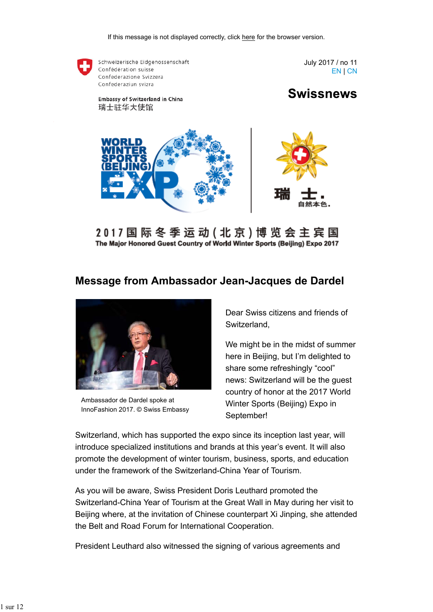

2 0 1 7 国 际 冬 季 运 动 ( 北 京 ) 博 览 会 主 宾 国 The Major Honored Guest Country of World Winter Sports (Beijing) Expo 2017

## **Message from Ambassador Jean-Jacques de Dardel**



Ambassador de Dardel spoke at InnoFashion 2017. © Swiss Embassy

Dear Swiss citizens and friends of Switzerland,

We might be in the midst of summer here in Beijing, but I'm delighted to share some refreshingly "cool" news: Switzerland will be the guest country of honor at the 2017 World Winter Sports (Beijing) Expo in September!

Switzerland, which has supported the expo since its inception last year, will introduce specialized institutions and brands at this year's event. It will also promote the development of winter tourism, business, sports, and education under the framework of the Switzerland-China Year of Tourism.

As you will be aware, Swiss President Doris Leuthard promoted the Switzerland-China Year of Tourism at the Great Wall in May during her visit to Beijing where, at the invitation of Chinese counterpart Xi Jinping, she attended the Belt and Road Forum for International Cooperation.

President Leuthard also witnessed the signing of various agreements and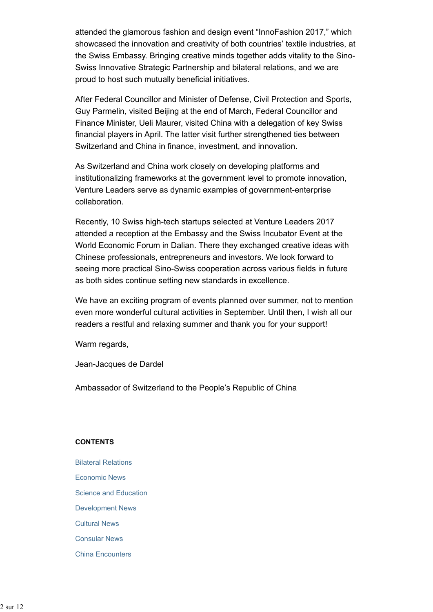attended the glamorous fashion and design event "InnoFashion 2017," which showcased the innovation and creativity of both countries' textile industries, at the Swiss Embassy. Bringing creative minds together adds vitality to the Sino-Swiss Innovative Strategic Partnership and bilateral relations, and we are proud to host such mutually beneficial initiatives.

After Federal Councillor and Minister of Defense, Civil Protection and Sports, Guy Parmelin, visited Beijing at the end of March, Federal Councillor and Finance Minister, Ueli Maurer, visited China with a delegation of key Swiss financial players in April. The latter visit further strengthened ties between Switzerland and China in finance, investment, and innovation.

As Switzerland and China work closely on developing platforms and institutionalizing frameworks at the government level to promote innovation, Venture Leaders serve as dynamic examples of government-enterprise collaboration.

Recently, 10 Swiss high-tech startups selected at Venture Leaders 2017 attended a reception at the Embassy and the Swiss Incubator Event at the World Economic Forum in Dalian. There they exchanged creative ideas with Chinese professionals, entrepreneurs and investors. We look forward to seeing more practical Sino-Swiss cooperation across various fields in future as both sides continue setting new standards in excellence.

We have an exciting program of events planned over summer, not to mention even more wonderful cultural activities in September. Until then, I wish all our readers a restful and relaxing summer and thank you for your support!

Warm regards,

Jean-Jacques de Dardel

Ambassador of Switzerland to the People's Republic of China

#### **CONTENTS**

Bilateral Relations Economic News Science and Education Development News Cultural News Consular News China Encounters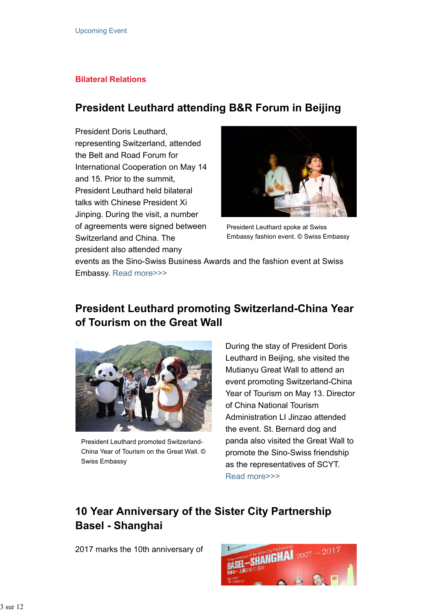### **Bilateral Relations**

## **President Leuthard attending B&R Forum in Beijing**

President Doris Leuthard, representing Switzerland, attended the Belt and Road Forum for International Cooperation on May 14 and 15. Prior to the summit, President Leuthard held bilateral talks with Chinese President Xi Jinping. During the visit, a number of agreements were signed between Switzerland and China. The president also attended many



President Leuthard spoke at Swiss Embassy fashion event. © Swiss Embassy

events as the Sino-Swiss Business Awards and the fashion event at Swiss Embassy. Read more>>>

# **President Leuthard promoting Switzerland-China Year of Tourism on the Great Wall**



President Leuthard promoted Switzerland-China Year of Tourism on the Great Wall. © Swiss Embassy

During the stay of President Doris Leuthard in Beijing, she visited the Mutianyu Great Wall to attend an event promoting Switzerland-China Year of Tourism on May 13. Director of China National Tourism Administration LI Jinzao attended the event. St. Bernard dog and panda also visited the Great Wall to promote the Sino-Swiss friendship as the representatives of SCYT. Read more>>>

# **10 Year Anniversary of the Sister City Partnership Basel - Shanghai**

2017 marks the 10th anniversary of

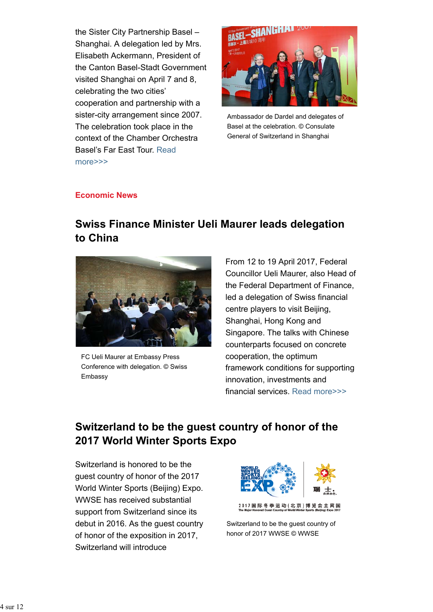the Sister City Partnership Basel – Shanghai. A delegation led by Mrs. Elisabeth Ackermann, President of the Canton Basel-Stadt Government visited Shanghai on April 7 and 8, celebrating the two cities' cooperation and partnership with a sister-city arrangement since 2007. The celebration took place in the context of the Chamber Orchestra Basel's Far East Tour. Read more>>>



Ambassador de Dardel and delegates of Basel at the celebration. © Consulate General of Switzerland in Shanghai

### **Economic News**

# **Swiss Finance Minister Ueli Maurer leads delegation to China**



FC Ueli Maurer at Embassy Press Conference with delegation. © Swiss Embassy

From 12 to 19 April 2017, Federal Councillor Ueli Maurer, also Head of the Federal Department of Finance, led a delegation of Swiss financial centre players to visit Beijing, Shanghai, Hong Kong and Singapore. The talks with Chinese counterparts focused on concrete cooperation, the optimum framework conditions for supporting innovation, investments and financial services. Read more>>>

# **Switzerland to be the guest country of honor of the 2017 World Winter Sports Expo**

Switzerland is honored to be the guest country of honor of the 2017 World Winter Sports (Beijing) Expo. WWSE has received substantial support from Switzerland since its debut in 2016. As the guest country of honor of the exposition in 2017, Switzerland will introduce



Switzerland to be the guest country of honor of 2017 WWSE © WWSE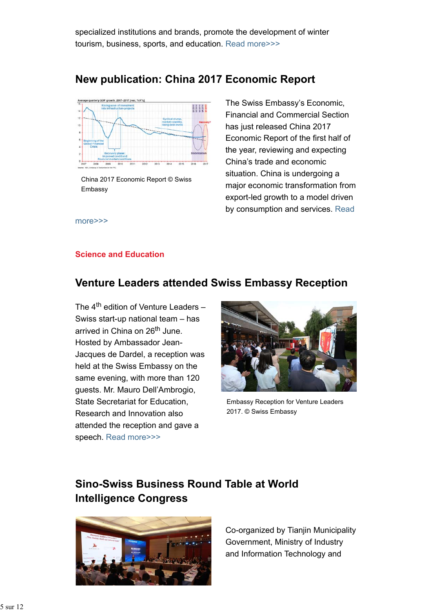specialized institutions and brands, promote the development of winter tourism, business, sports, and education. Read more>>>

## **New publication: China 2017 Economic Report**



China 2017 Economic Report © Swiss Embassy

The Swiss Embassy's Economic, Financial and Commercial Section has just released China 2017 Economic Report of the first half of the year, reviewing and expecting China's trade and economic situation. China is undergoing a major economic transformation from export-led growth to a model driven by consumption and services. Read

more>>>

### **Science and Education**

# **Venture Leaders attended Swiss Embassy Reception**

The  $4<sup>th</sup>$  edition of Venture Leaders – Swiss start-up national team – has arrived in China on 26<sup>th</sup> June. Hosted by Ambassador Jean-Jacques de Dardel, a reception was held at the Swiss Embassy on the same evening, with more than 120 guests. Mr. Mauro Dell'Ambrogio, State Secretariat for Education, Research and Innovation also attended the reception and gave a speech. Read more>>>



Embassy Reception for Venture Leaders 2017. © Swiss Embassy

# **Sino-Swiss Business Round Table at World Intelligence Congress**



Co-organized by Tianjin Municipality Government, Ministry of Industry and Information Technology and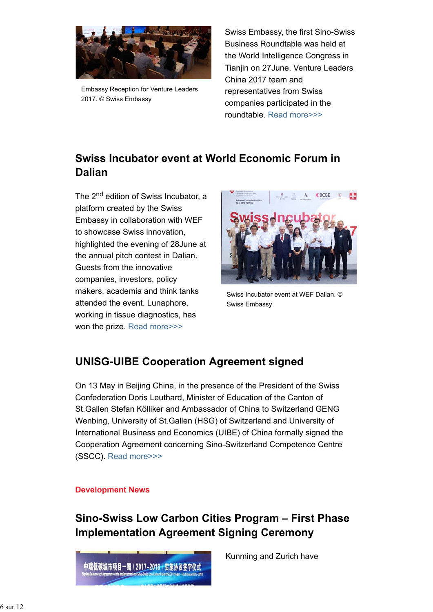

Embassy Reception for Venture Leaders 2017. © Swiss Embassy

Swiss Embassy, the first Sino-Swiss Business Roundtable was held at the World Intelligence Congress in Tianjin on 27June. Venture Leaders China 2017 team and representatives from Swiss companies participated in the roundtable. Read more>>>

# **Swiss Incubator event at World Economic Forum in Dalian**

The 2<sup>nd</sup> edition of Swiss Incubator, a platform created by the Swiss Embassy in collaboration with WEF to showcase Swiss innovation, highlighted the evening of 28June at the annual pitch contest in Dalian. Guests from the innovative companies, investors, policy makers, academia and think tanks attended the event. Lunaphore, working in tissue diagnostics, has won the prize. Read more>>>



Swiss Incubator event at WEF Dalian. © Swiss Embassy

# **UNISG-UIBE Cooperation Agreement signed**

On 13 May in Beijing China, in the presence of the President of the Swiss Confederation Doris Leuthard, Minister of Education of the Canton of St.Gallen Stefan Kölliker and Ambassador of China to Switzerland GENG Wenbing, University of St.Gallen (HSG) of Switzerland and University of International Business and Economics (UIBE) of China formally signed the Cooperation Agreement concerning Sino-Switzerland Competence Centre (SSCC). Read more>>>

### **Development News**

**Sino-Swiss Low Carbon Cities Program – First Phase Implementation Agreement Signing Ceremony**



Kunming and Zurich have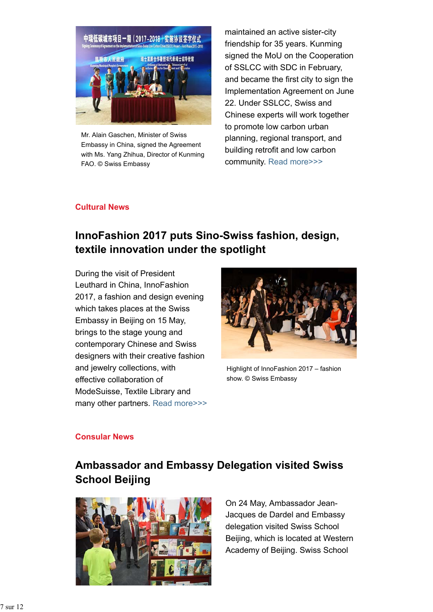

Mr. Alain Gaschen, Minister of Swiss Embassy in China, signed the Agreement with Ms. Yang Zhihua, Director of Kunming FAO. © Swiss Embassy

maintained an active sister-city friendship for 35 years. Kunming signed the MoU on the Cooperation of SSLCC with SDC in February, and became the first city to sign the Implementation Agreement on June 22. Under SSLCC, Swiss and Chinese experts will work together to promote low carbon urban planning, regional transport, and building retrofit and low carbon community. Read more>>>

### **Cultural News**

# **InnoFashion 2017 puts Sino-Swiss fashion, design, textile innovation under the spotlight**

During the visit of President Leuthard in China, InnoFashion 2017, a fashion and design evening which takes places at the Swiss Embassy in Beijing on 15 May, brings to the stage young and contemporary Chinese and Swiss designers with their creative fashion and jewelry collections, with effective collaboration of ModeSuisse, Textile Library and many other partners. Read more>>>



Highlight of InnoFashion 2017 – fashion show. © Swiss Embassy

### **Consular News**

# **Ambassador and Embassy Delegation visited Swiss School Beijing**



On 24 May, Ambassador Jean-Jacques de Dardel and Embassy delegation visited Swiss School Beijing, which is located at Western Academy of Beijing. Swiss School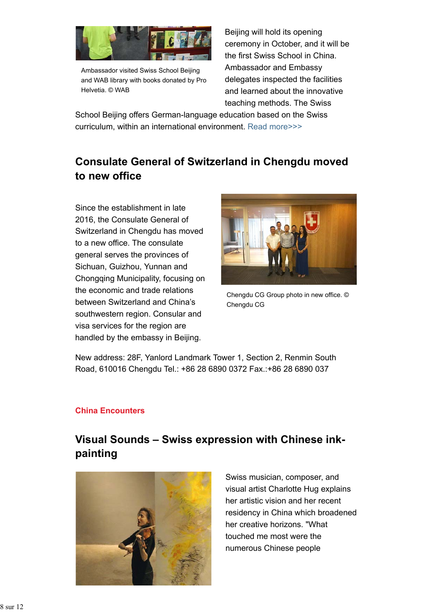

Ambassador visited Swiss School Beijing and WAB library with books donated by Pro Helvetia. © WAB

Beijing will hold its opening ceremony in October, and it will be the first Swiss School in China. Ambassador and Embassy delegates inspected the facilities and learned about the innovative teaching methods. The Swiss

School Beijing offers German-language education based on the Swiss curriculum, within an international environment. Read more>>>

# **Consulate General of Switzerland in Chengdu moved to new office**

Since the establishment in late 2016, the Consulate General of Switzerland in Chengdu has moved to a new office. The consulate general serves the provinces of Sichuan, Guizhou, Yunnan and Chongqing Municipality, focusing on the economic and trade relations between Switzerland and China's southwestern region. Consular and visa services for the region are handled by the embassy in Beijing.



Chengdu CG Group photo in new office. © Chengdu CG

New address: 28F, Yanlord Landmark Tower 1, Section 2, Renmin South Road, 610016 Chengdu Tel.: +86 28 6890 0372 Fax.:+86 28 6890 037

### **China Encounters**

# **Visual Sounds – Swiss expression with Chinese inkpainting**



Swiss musician, composer, and visual artist Charlotte Hug explains her artistic vision and her recent residency in China which broadened her creative horizons. "What touched me most were the numerous Chinese people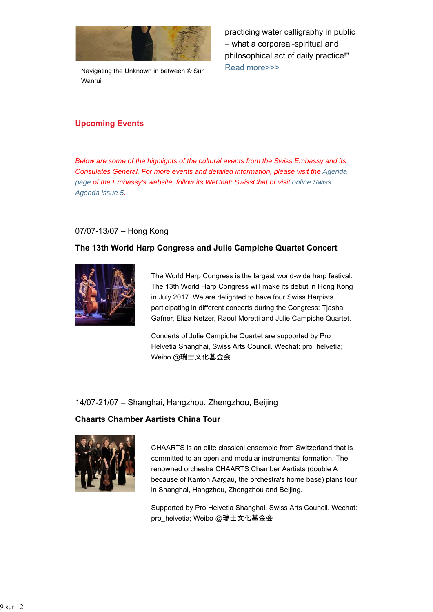

Navigating the Unknown in between © Sun Wanrui

practicing water calligraphy in public – what a corporeal-spiritual and philosophical act of daily practice!" Read more>>>

## **Upcoming Events**

*Below are some of the highlights of the cultural events from the Swiss Embassy and its Consulates General. For more events and detailed information, please visit the Agenda page of the Embassy's website, follow its WeChat: SwissChat or visit online Swiss Agenda issue 5.*

### 07/07-13/07 – Hong Kong

### **The 13th World Harp Congress and Julie Campiche Quartet Concert**



The World Harp Congress is the largest world-wide harp festival. The 13th World Harp Congress will make its debut in Hong Kong in July 2017. We are delighted to have four Swiss Harpists participating in different concerts during the Congress: Tjasha Gafner, Eliza Netzer, Raoul Moretti and Julie Campiche Quartet.

Concerts of Julie Campiche Quartet are supported by Pro Helvetia Shanghai, Swiss Arts Council. Wechat: pro\_helvetia; Weibo @瑞士文化基金会

### 14/07-21/07 – Shanghai, Hangzhou, Zhengzhou, Beijing

### **Chaarts Chamber Aartists China Tour**



CHAARTS is an elite classical ensemble from Switzerland that is committed to an open and modular instrumental formation. The renowned orchestra CHAARTS Chamber Aartists (double A because of Kanton Aargau, the orchestra's home base) plans tour in Shanghai, Hangzhou, Zhengzhou and Beijing.

Supported by Pro Helvetia Shanghai, Swiss Arts Council. Wechat: pro\_helvetia; Weibo @瑞士文化基金会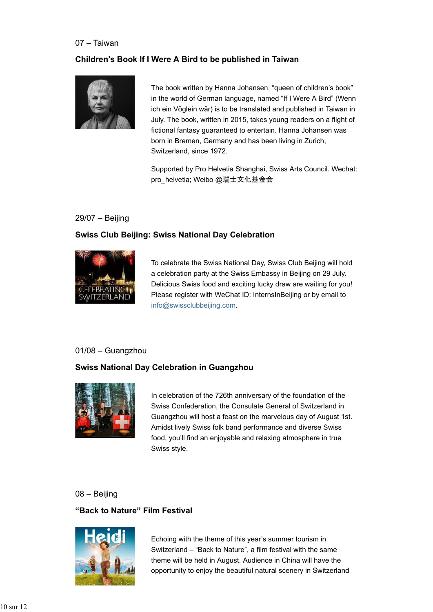#### 07 – Taiwan

### **Children's Book If I Were A Bird to be published in Taiwan**



The book written by Hanna Johansen, "queen of children's book" in the world of German language, named "If I Were A Bird" (Wenn ich ein Vöglein wär) is to be translated and published in Taiwan in July. The book, written in 2015, takes young readers on a flight of fictional fantasy guaranteed to entertain. Hanna Johansen was born in Bremen, Germany and has been living in Zurich, Switzerland, since 1972.

Supported by Pro Helvetia Shanghai, Swiss Arts Council. Wechat: pro\_helvetia; Weibo @瑞士文化基金会

### 29/07 – Beijing

### **Swiss Club Beijing: Swiss National Day Celebration**



To celebrate the Swiss National Day, Swiss Club Beijing will hold a celebration party at the Swiss Embassy in Beijing on 29 July. Delicious Swiss food and exciting lucky draw are waiting for you! Please register with WeChat ID: InternsInBeijing or by email to info@swissclubbeijing.com.

### 01/08 – Guangzhou

### **Swiss National Day Celebration in Guangzhou**



In celebration of the 726th anniversary of the foundation of the Swiss Confederation, the Consulate General of Switzerland in Guangzhou will host a feast on the marvelous day of August 1st. Amidst lively Swiss folk band performance and diverse Swiss food, you'll find an enjoyable and relaxing atmosphere in true Swiss style.

## 08 – Beijing

### **"Back to Nature" Film Festival**



Echoing with the theme of this year's summer tourism in Switzerland – "Back to Nature", a film festival with the same theme will be held in August. Audience in China will have the opportunity to enjoy the beautiful natural scenery in Switzerland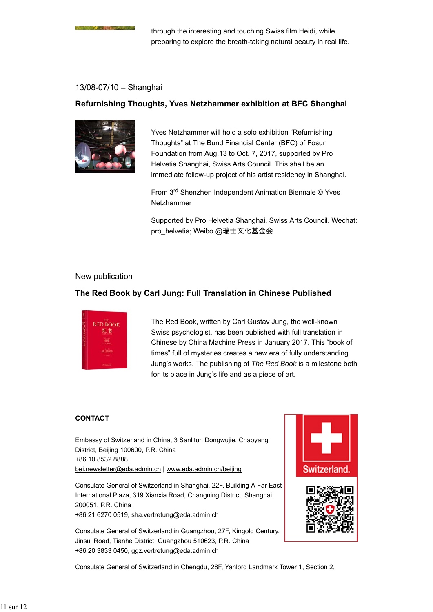#### 13/08-07/10 – Shanghai

### **Refurnishing Thoughts, Yves Netzhammer exhibition at BFC Shanghai**



Yves Netzhammer will hold a solo exhibition "Refurnishing Thoughts" at The Bund Financial Center (BFC) of Fosun Foundation from Aug.13 to Oct. 7, 2017, supported by Pro Helvetia Shanghai, Swiss Arts Council. This shall be an immediate follow-up project of his artist residency in Shanghai.

From 3rd Shenzhen Independent Animation Biennale © Yves Netzhammer

Supported by Pro Helvetia Shanghai, Swiss Arts Council. Wechat: pro\_helvetia; Weibo @瑞士文化基金会

#### New publication

#### **The Red Book by Carl Jung: Full Translation in Chinese Published**



The Red Book, written by Carl Gustav Jung, the well-known Swiss psychologist, has been published with full translation in Chinese by China Machine Press in January 2017. This "book of times" full of mysteries creates a new era of fully understanding Jung's works. The publishing of *The Red Book* is a milestone both for its place in Jung's life and as a piece of art.

#### **CONTACT**

Embassy of Switzerland in China, 3 Sanlitun Dongwujie, Chaoyang District, Beijing 100600, P.R. China +86 10 8532 8888 bei.newsletter@eda.admin.ch | www.eda.admin.ch/beijing

Consulate General of Switzerland in Shanghai, 22F, Building A Far East International Plaza, 319 Xianxia Road, Changning District, Shanghai 200051, P.R. China +86 21 6270 0519, sha.vertretung@eda.admin.ch

Consulate General of Switzerland in Guangzhou, 27F, Kingold Century, Jinsui Road, Tianhe District, Guangzhou 510623, P.R. China +86 20 3833 0450, ggz.vertretung@eda.admin.ch



Consulate General of Switzerland in Chengdu, 28F, Yanlord Landmark Tower 1, Section 2,